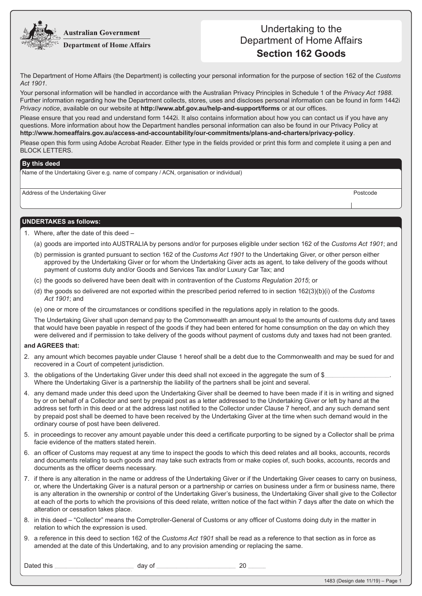**Australian Government** 



## Undertaking to the Department of Home Affairs **Section 162 Goods**

The Department of Home Affairs (the Department) is collecting your personal information for the purpose of section 162 of the *Customs Act 1901*.

Your personal information will be handled in accordance with the Australian Privacy Principles in Schedule 1 of the *Privacy Act 1988*. Further information regarding how the Department collects, stores, uses and discloses personal information can be found in form 1442i *Privacy notice*, available on our website at **http://www.abf.gov.au/help-and-support/forms** or at our offices.

Please ensure that you read and understand form 1442i. It also contains information about how you can contact us if you have any questions. More information about how the Department handles personal information can also be found in our Privacy Policy at **http://www.homeaffairs.gov.au/access-and-accountability/our-commitments/plans-and-charters/privacy-policy**.

Please open this form using Adobe Acrobat Reader. Either type in the fields provided or print this form and complete it using a pen and BLOCK LETTERS.

## **By this deed**

Name of the Undertaking Giver e.g. name of company / ACN, organisation or individual)

Address of the Undertaking Giver **Postcode Postcode** Postcode **Postcode** Postcode

## **UNDERTAKES as follows:**

- 1. Where, after the date of this deed
	- (a) goods are imported into AUSTRALIA by persons and/or for purposes eligible under section 162 of the *Customs Act 1901*; and
	- (b) permission is granted pursuant to section 162 of the *Customs Act 1901* to the Undertaking Giver, or other person either approved by the Undertaking Giver or for whom the Undertaking Giver acts as agent, to take delivery of the goods without payment of customs duty and/or Goods and Services Tax and/or Luxury Car Tax; and
	- (c) the goods so delivered have been dealt with in contravention of the *Customs Regulation 2015*; or
	- (d) the goods so delivered are not exported within the prescribed period referred to in section 162(3)(b)(i) of the *Customs Act 1901*; and
	- (e) one or more of the circumstances or conditions specified in the regulations apply in relation to the goods.

The Undertaking Giver shall upon demand pay to the Commonwealth an amount equal to the amounts of customs duty and taxes that would have been payable in respect of the goods if they had been entered for home consumption on the day on which they were delivered and if permission to take delivery of the goods without payment of customs duty and taxes had not been granted.

## **and AGREES that:**

- 2. any amount which becomes payable under Clause 1 hereof shall be a debt due to the Commonwealth and may be sued for and recovered in a Court of competent jurisdiction.
- 3. the obligations of the Undertaking Giver under this deed shall not exceed in the aggregate the sum of \$\_ Where the Undertaking Giver is a partnership the liability of the partners shall be joint and several.
- 4. any demand made under this deed upon the Undertaking Giver shall be deemed to have been made if it is in writing and signed by or on behalf of a Collector and sent by prepaid post as a letter addressed to the Undertaking Giver or left by hand at the address set forth in this deed or at the address last notified to the Collector under Clause 7 hereof, and any such demand sent by prepaid post shall be deemed to have been received by the Undertaking Giver at the time when such demand would in the ordinary course of post have been delivered.
- 5. in proceedings to recover any amount payable under this deed a certificate purporting to be signed by a Collector shall be prima facie evidence of the matters stated herein.
- 6. an officer of Customs may request at any time to inspect the goods to which this deed relates and all books, accounts, records and documents relating to such goods and may take such extracts from or make copies of, such books, accounts, records and documents as the officer deems necessary.
- 7. if there is any alteration in the name or address of the Undertaking Giver or if the Undertaking Giver ceases to carry on business, or, where the Undertaking Giver is a natural person or a partnership or carries on business under a firm or business name, there is any alteration in the ownership or control of the Undertaking Giver's business, the Undertaking Giver shall give to the Collector at each of the ports to which the provisions of this deed relate, written notice of the fact within 7 days after the date on which the alteration or cessation takes place.
- 8. in this deed "Collector" means the Comptroller-General of Customs or any officer of Customs doing duty in the matter in relation to which the expression is used.
- 9. a reference in this deed to section 162 of the *Customs Act 1901* shall be read as a reference to that section as in force as amended at the date of this Undertaking, and to any provision amending or replacing the same.

Dated this **Dated this and the set of the set of the set of the set of the set of the set of the set of the set of the set of the set of the set of the set of the set of the set of the set of the set of the set of the se**